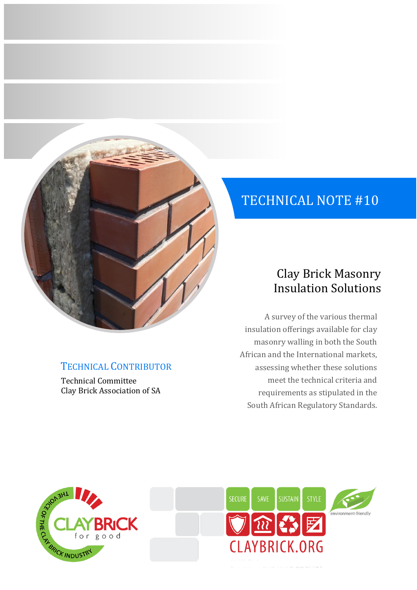

# TECHNICAL CONTRIBUTOR

Technical Committee Clay Brick Association of SA

# TECHNICAL NOTE #10

# Clay Brick Masonry Insulation Solutions

A survey of the various thermal insulation offerings available for clay masonry walling in both the South African and the International markets, assessing whether these solutions meet the technical criteria and requirements as stipulated in the South African Regulatory Standards.



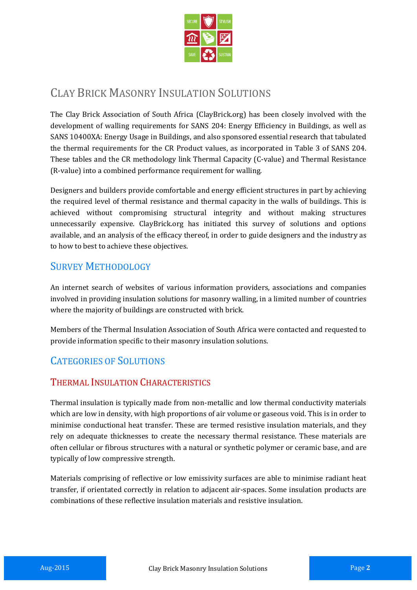

# CLAY BRICK MASONRY INSULATION SOLUTIONS

The Clay Brick Association of South Africa (ClayBrick.org) has been closely involved with the development of walling requirements for SANS 204: Energy Efficiency in Buildings, as well as SANS 10400XA: Energy Usage in Buildings, and also sponsored essential research that tabulated the thermal requirements for the CR Product values, as incorporated in Table 3 of SANS 204. These tables and the CR methodology link Thermal Capacity (C-value) and Thermal Resistance (R-value) into a combined performance requirement for walling.

Designers and builders provide comfortable and energy efficient structures in part by achieving the required level of thermal resistance and thermal capacity in the walls of buildings. This is achieved without compromising structural integrity and without making structures unnecessarily expensive. ClayBrick.org has initiated this survey of solutions and options available, and an analysis of the efficacy thereof, in order to guide designers and the industry as to how to best to achieve these objectives.

### SURVEY METHODOLOGY

An internet search of websites of various information providers, associations and companies involved in providing insulation solutions for masonry walling, in a limited number of countries where the majority of buildings are constructed with brick.

Members of the Thermal Insulation Association of South Africa were contacted and requested to provide information specific to their masonry insulation solutions.

## CATEGORIES OF SOLUTIONS

#### THERMAL INSULATION CHARACTERISTICS

Thermal insulation is typically made from non-metallic and low thermal conductivity materials which are low in density, with high proportions of air volume or gaseous void. This is in order to minimise conductional heat transfer. These are termed resistive insulation materials, and they rely on adequate thicknesses to create the necessary thermal resistance. These materials are often cellular or fibrous structures with a natural or synthetic polymer or ceramic base, and are typically of low compressive strength.

Materials comprising of reflective or low emissivity surfaces are able to minimise radiant heat transfer, if orientated correctly in relation to adjacent air-spaces. Some insulation products are combinations of these reflective insulation materials and resistive insulation.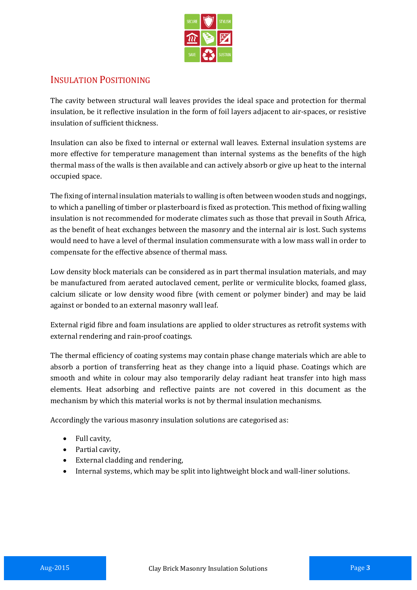

#### INSULATION POSITIONING

The cavity between structural wall leaves provides the ideal space and protection for thermal insulation, be it reflective insulation in the form of foil layers adjacent to air-spaces, or resistive insulation of sufficient thickness.

Insulation can also be fixed to internal or external wall leaves. External insulation systems are more effective for temperature management than internal systems as the benefits of the high thermal mass of the walls is then available and can actively absorb or give up heat to the internal occupied space.

The fixing of internal insulation materials to walling is often between wooden studs and noggings, to which a panelling of timber or plasterboard is fixed as protection. This method of fixing walling insulation is not recommended for moderate climates such as those that prevail in South Africa, as the benefit of heat exchanges between the masonry and the internal air is lost. Such systems would need to have a level of thermal insulation commensurate with a low mass wall in order to compensate for the effective absence of thermal mass.

Low density block materials can be considered as in part thermal insulation materials, and may be manufactured from aerated autoclaved cement, perlite or vermiculite blocks, foamed glass, calcium silicate or low density wood fibre (with cement or polymer binder) and may be laid against or bonded to an external masonry wall leaf.

External rigid fibre and foam insulations are applied to older structures as retrofit systems with external rendering and rain-proof coatings.

The thermal efficiency of coating systems may contain phase change materials which are able to absorb a portion of transferring heat as they change into a liquid phase. Coatings which are smooth and white in colour may also temporarily delay radiant heat transfer into high mass elements. Heat adsorbing and reflective paints are not covered in this document as the mechanism by which this material works is not by thermal insulation mechanisms.

Accordingly the various masonry insulation solutions are categorised as:

- Full cavity,
- Partial cavity.
- External cladding and rendering,
- Internal systems, which may be split into lightweight block and wall-liner solutions.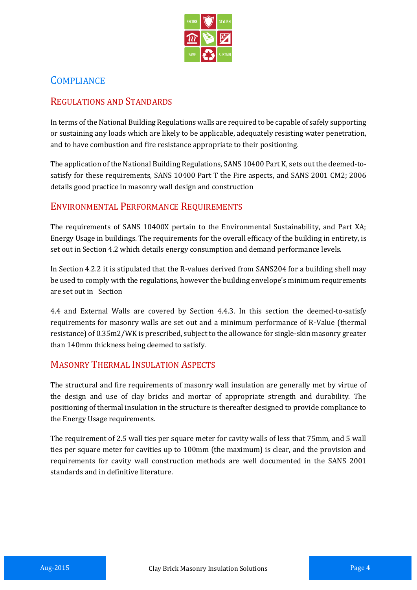

### **COMPLIANCE**

#### REGULATIONS AND STANDARDS

In terms of the National Building Regulations walls are required to be capable of safely supporting or sustaining any loads which are likely to be applicable, adequately resisting water penetration, and to have combustion and fire resistance appropriate to their positioning.

The application of the National Building Regulations, SANS 10400 Part K, sets out the deemed-tosatisfy for these requirements, SANS 10400 Part T the Fire aspects, and SANS 2001 CM2; 2006 details good practice in masonry wall design and construction

#### ENVIRONMENTAL PERFORMANCE REQUIREMENTS

The requirements of SANS 10400X pertain to the Environmental Sustainability, and Part XA; Energy Usage in buildings. The requirements for the overall efficacy of the building in entirety, is set out in Section 4.2 which details energy consumption and demand performance levels.

In Section 4.2.2 it is stipulated that the R-values derived from SANS204 for a building shell may be used to comply with the regulations, however the building envelope's minimum requirements are set out in Section

4.4 and External Walls are covered by Section 4.4.3. In this section the deemed-to-satisfy requirements for masonry walls are set out and a minimum performance of R-Value (thermal resistance) of 0.35m2/WK is prescribed, subject to the allowance for single-skin masonry greater than 140mm thickness being deemed to satisfy.

#### MASONRY THERMAL INSULATION ASPECTS

The structural and fire requirements of masonry wall insulation are generally met by virtue of the design and use of clay bricks and mortar of appropriate strength and durability. The positioning of thermal insulation in the structure is thereafter designed to provide compliance to the Energy Usage requirements.

The requirement of 2.5 wall ties per square meter for cavity walls of less that 75mm, and 5 wall ties per square meter for cavities up to 100mm (the maximum) is clear, and the provision and requirements for cavity wall construction methods are well documented in the SANS 2001 standards and in definitive literature.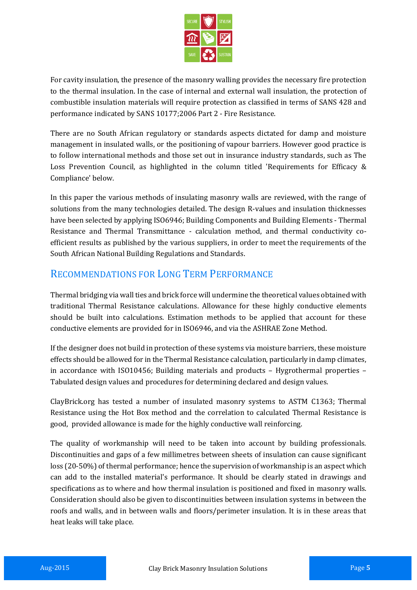

For cavity insulation, the presence of the masonry walling provides the necessary fire protection to the thermal insulation. In the case of internal and external wall insulation, the protection of combustible insulation materials will require protection as classified in terms of SANS 428 and performance indicated by SANS 10177;2006 Part 2 - Fire Resistance.

There are no South African regulatory or standards aspects dictated for damp and moisture management in insulated walls, or the positioning of vapour barriers. However good practice is to follow international methods and those set out in insurance industry standards, such as The Loss Prevention Council, as highlighted in the column titled 'Requirements for Efficacy & Compliance' below.

In this paper the various methods of insulating masonry walls are reviewed, with the range of solutions from the many technologies detailed. The design R-values and insulation thicknesses have been selected by applying ISO6946; Building Components and Building Elements - Thermal Resistance and Thermal Transmittance - calculation method, and thermal conductivity coefficient results as published by the various suppliers, in order to meet the requirements of the South African National Building Regulations and Standards.

#### RECOMMENDATIONS FOR LONG TERM PERFORMANCE

Thermal bridging via wall ties and brick force will undermine the theoretical values obtained with traditional Thermal Resistance calculations. Allowance for these highly conductive elements should be built into calculations. Estimation methods to be applied that account for these conductive elements are provided for in ISO6946, and via the ASHRAE Zone Method.

If the designer does not build in protection of these systems via moisture barriers, these moisture effects should be allowed for in the Thermal Resistance calculation, particularly in damp climates, in accordance with ISO10456; Building materials and products – Hygrothermal properties – Tabulated design values and procedures for determining declared and design values.

ClayBrick.org has tested a number of insulated masonry systems to ASTM C1363; Thermal Resistance using the Hot Box method and the correlation to calculated Thermal Resistance is good, provided allowance is made for the highly conductive wall reinforcing.

The quality of workmanship will need to be taken into account by building professionals. Discontinuities and gaps of a few millimetres between sheets of insulation can cause significant loss (20-50%) of thermal performance; hence the supervision of workmanship is an aspect which can add to the installed material's performance. It should be clearly stated in drawings and specifications as to where and how thermal insulation is positioned and fixed in masonry walls. Consideration should also be given to discontinuities between insulation systems in between the roofs and walls, and in between walls and floors/perimeter insulation. It is in these areas that heat leaks will take place.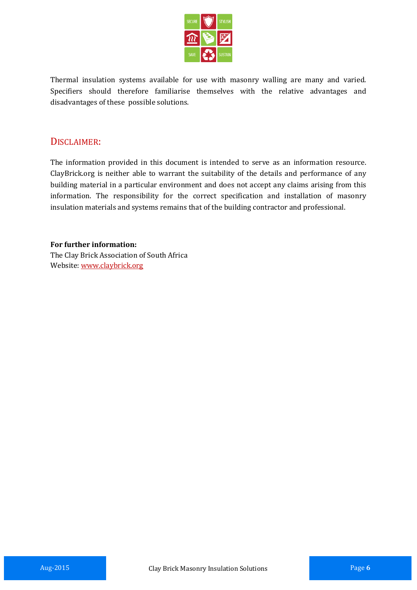

Thermal insulation systems available for use with masonry walling are many and varied. Specifiers should therefore familiarise themselves with the relative advantages and disadvantages of these possible solutions.

#### DISCLAIMER:

The information provided in this document is intended to serve as an information resource. ClayBrick.org is neither able to warrant the suitability of the details and performance of any building material in a particular environment and does not accept any claims arising from this information. The responsibility for the correct specification and installation of masonry insulation materials and systems remains that of the building contractor and professional.

**For further information:** The Clay Brick Association of South Africa Website[: www.claybrick.org](http://www.claybrick.org.za/)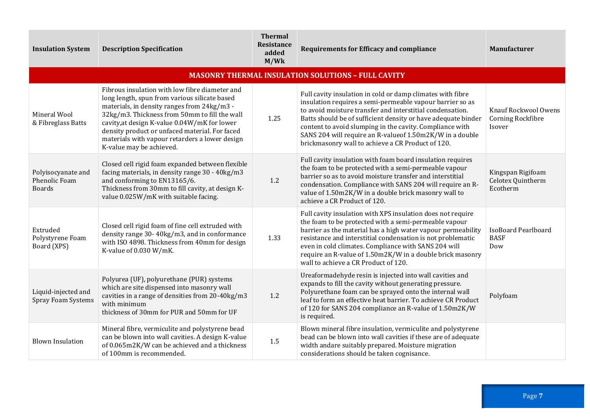| <b>Insulation System</b>                             | <b>Description Specification</b>                                                                                                                                                                                                                                                                                                                                                | <b>Thermal</b><br>Resistance<br>added<br>M/Wk | <b>Requirements for Efficacy and compliance</b>                                                                                                                                                                                                                                                                                                                                                                                     | <b>Manufacturer</b>                                 |
|------------------------------------------------------|---------------------------------------------------------------------------------------------------------------------------------------------------------------------------------------------------------------------------------------------------------------------------------------------------------------------------------------------------------------------------------|-----------------------------------------------|-------------------------------------------------------------------------------------------------------------------------------------------------------------------------------------------------------------------------------------------------------------------------------------------------------------------------------------------------------------------------------------------------------------------------------------|-----------------------------------------------------|
|                                                      |                                                                                                                                                                                                                                                                                                                                                                                 |                                               | <b>MASONRY THERMAL INSULATION SOLUTIONS - FULL CAVITY</b>                                                                                                                                                                                                                                                                                                                                                                           |                                                     |
| Mineral Wool<br>& Fibreglass Batts                   | Fibrous insulation with low fibre diameter and<br>long length, spun from various silicate based<br>materials, in density ranges from 24kg/m3 -<br>32kg/m3. Thickness from 50mm to fill the wall<br>cavity, at design K-value 0.04W/mK for lower<br>density product or unfaced material. For faced<br>materials with vapour retarders a lower design<br>K-value may be achieved. | 1.25                                          | Full cavity insulation in cold or damp climates with fibre<br>insulation requires a semi-permeable vapour barrier so as<br>to avoid moisture transfer and interstitial condensation.<br>Batts should be of sufficient density or have adequate binder<br>content to avoid slumping in the cavity. Compliance with<br>SANS 204 will require an R-value of 1.50m2K/W in a double<br>brickmasonry wall to achieve a CR Product of 120. | Knauf Rockwool Owens<br>Corning Rockfibre<br>Isover |
| Polyisocyanate and<br>Phenolic Foam<br><b>Boards</b> | Closed cell rigid foam expanded between flexible<br>facing materials, in density range 30 - 40kg/m3<br>and conforming to EN13165/6.<br>Thickness from 30mm to fill cavity, at design K-<br>value 0.025W/mK with suitable facing.                                                                                                                                                | 1.2                                           | Full cavity insulation with foam board insulation requires<br>the foam to be protected with a semi-permeable vapour<br>barrier so as to avoid moisture transfer and interstitial<br>condensation. Compliance with SANS 204 will require an R-<br>value of 1.50m2K/W in a double brick masonry wall to<br>achieve a CR Product of 120.                                                                                               | Kingspan Rigifoam<br>Celotex Quintherm<br>Ecotherm  |
| Extruded<br>Polystyrene Foam<br>Board (XPS)          | Closed cell rigid foam of fine cell extruded with<br>density range 30-40kg/m3, and in conformance<br>with ISO 4898. Thickness from 40mm for design<br>K-value of 0.030 W/mK.                                                                                                                                                                                                    | 1.33                                          | Full cavity insulation with XPS insulation does not require<br>the foam to be protected with a semi-permeable vapour<br>barrier as the material has a high water vapour permeability<br>resistance and interstitial condensation is not problematic<br>even in cold climates. Compliance with SANS 204 will<br>require an R-value of 1.50m2K/W in a double brick masonry<br>wall to achieve a CR Product of 120.                    | IsoBoard Pearlboard<br><b>BASF</b><br>Dow           |
| Liquid-injected and<br>Spray Foam Systems            | Polyurea (UF), polyurethane (PUR) systems<br>which are site dispensed into masonry wall<br>cavities in a range of densities from 20-40kg/m3<br>with minimum<br>thickness of 30mm for PUR and 50mm for UF                                                                                                                                                                        | 1.2                                           | Ureaformadehyde resin is injected into wall cavities and<br>expands to fill the cavity without generating pressure.<br>Polyurethane foam can be sprayed onto the internal wall<br>leaf to form an effective heat barrier. To achieve CR Product<br>of 120 for SANS 204 compliance an R-value of 1.50m2K/W<br>is required.                                                                                                           | Polyfoam                                            |
| <b>Blown Insulation</b>                              | Mineral fibre, vermiculite and polystyrene bead<br>can be blown into wall cavities. A design K-value<br>of 0.065m2K/W can be achieved and a thickness<br>of 100mm is recommended.                                                                                                                                                                                               | 1.5                                           | Blown mineral fibre insulation, vermiculite and polystyrene<br>bead can be blown into wall cavities if these are of adequate<br>width andare suitably prepared. Moisture migration<br>considerations should be taken cognisance.                                                                                                                                                                                                    |                                                     |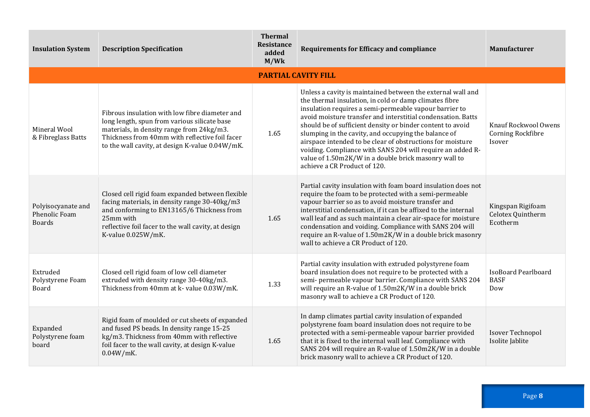| <b>Insulation System</b>                                    | <b>Description Specification</b>                                                                                                                                                                                                                 | <b>Thermal</b><br><b>Resistance</b><br>added<br>M/Wk | <b>Requirements for Efficacy and compliance</b>                                                                                                                                                                                                                                                                                                                                                                                                                                                                                                                                           | Manufacturer                                        |
|-------------------------------------------------------------|--------------------------------------------------------------------------------------------------------------------------------------------------------------------------------------------------------------------------------------------------|------------------------------------------------------|-------------------------------------------------------------------------------------------------------------------------------------------------------------------------------------------------------------------------------------------------------------------------------------------------------------------------------------------------------------------------------------------------------------------------------------------------------------------------------------------------------------------------------------------------------------------------------------------|-----------------------------------------------------|
|                                                             |                                                                                                                                                                                                                                                  |                                                      | <b>PARTIAL CAVITY FILL</b>                                                                                                                                                                                                                                                                                                                                                                                                                                                                                                                                                                |                                                     |
| Mineral Wool<br>& Fibreglass Batts                          | Fibrous insulation with low fibre diameter and<br>long length, spun from various silicate base<br>materials, in density range from 24kg/m3.<br>Thickness from 40mm with reflective foil facer<br>to the wall cavity, at design K-value 0.04W/mK. | 1.65                                                 | Unless a cavity is maintained between the external wall and<br>the thermal insulation, in cold or damp climates fibre<br>insulation requires a semi-permeable vapour barrier to<br>avoid moisture transfer and interstitial condensation. Batts<br>should be of sufficient density or binder content to avoid<br>slumping in the cavity, and occupying the balance of<br>airspace intended to be clear of obstructions for moisture<br>voiding. Compliance with SANS 204 will require an added R-<br>value of 1.50m2K/W in a double brick masonry wall to<br>achieve a CR Product of 120. | Knauf Rockwool Owens<br>Corning Rockfibre<br>Isover |
| Polyisocyanate and<br><b>Phenolic Foam</b><br><b>Boards</b> | Closed cell rigid foam expanded between flexible<br>facing materials, in density range 30-40kg/m3<br>and conforming to EN13165/6 Thickness from<br>25mm with<br>reflective foil facer to the wall cavity, at design<br>K-value 0.025W/mK.        | 1.65                                                 | Partial cavity insulation with foam board insulation does not<br>require the foam to be protected with a semi-permeable<br>vapour barrier so as to avoid moisture transfer and<br>interstitial condensation, if it can be affixed to the internal<br>wall leaf and as such maintain a clear air-space for moisture<br>condensation and voiding. Compliance with SANS 204 will<br>require an R-value of 1.50m2K/W in a double brick masonry<br>wall to achieve a CR Product of 120.                                                                                                        | Kingspan Rigifoam<br>Celotex Quintherm<br>Ecotherm  |
| Extruded<br>Polystyrene Foam<br>Board                       | Closed cell rigid foam of low cell diameter<br>extruded with density range 30-40kg/m3.<br>Thickness from 40mm at k- value 0.03W/mK.                                                                                                              | 1.33                                                 | Partial cavity insulation with extruded polystyrene foam<br>board insulation does not require to be protected with a<br>semi- permeable vapour barrier. Compliance with SANS 204<br>will require an R-value of 1.50m2K/W in a double brick<br>masonry wall to achieve a CR Product of 120.                                                                                                                                                                                                                                                                                                | IsoBoard Pearlboard<br><b>BASF</b><br>Dow           |
| Expanded<br>Polystyrene foam<br>board                       | Rigid foam of moulded or cut sheets of expanded<br>and fused PS beads. In density range 15-25<br>kg/m3. Thickness from 40mm with reflective<br>foil facer to the wall cavity, at design K-value<br>$0.04W/mK$ .                                  | 1.65                                                 | In damp climates partial cavity insulation of expanded<br>polystyrene foam board insulation does not require to be<br>protected with a semi-permeable vapour barrier provided<br>that it is fixed to the internal wall leaf. Compliance with<br>SANS 204 will require an R-value of 1.50m2K/W in a double<br>brick masonry wall to achieve a CR Product of 120.                                                                                                                                                                                                                           | <b>Isover Technopol</b><br>Isolite Jablite          |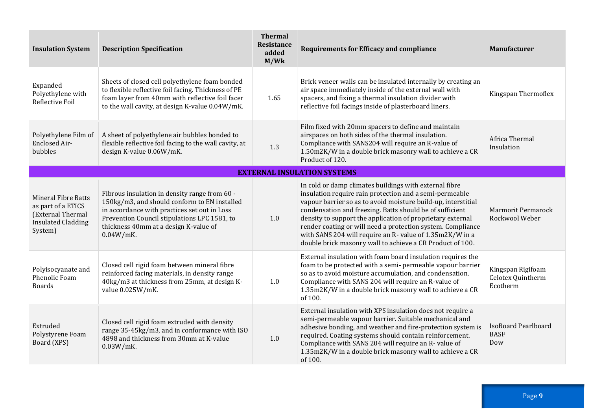| <b>Insulation System</b>                                                                                      | <b>Description Specification</b>                                                                                                                                                                                                                       | <b>Thermal</b><br><b>Resistance</b><br>added<br>M/Wk | <b>Requirements for Efficacy and compliance</b>                                                                                                                                                                                                                                                                                                                                                                                                                                                      | Manufacturer                                       |
|---------------------------------------------------------------------------------------------------------------|--------------------------------------------------------------------------------------------------------------------------------------------------------------------------------------------------------------------------------------------------------|------------------------------------------------------|------------------------------------------------------------------------------------------------------------------------------------------------------------------------------------------------------------------------------------------------------------------------------------------------------------------------------------------------------------------------------------------------------------------------------------------------------------------------------------------------------|----------------------------------------------------|
| Expanded<br>Polyethylene with<br>Reflective Foil                                                              | Sheets of closed cell polyethylene foam bonded<br>to flexible reflective foil facing. Thickness of PE<br>foam layer from 40mm with reflective foil facer<br>to the wall cavity, at design K-value 0.04W/mK.                                            | 1.65                                                 | Brick veneer walls can be insulated internally by creating an<br>air space immediately inside of the external wall with<br>spacers, and fixing a thermal insulation divider with<br>reflective foil facings inside of plasterboard liners.                                                                                                                                                                                                                                                           | Kingspan Thermoflex                                |
| Polyethylene Film of<br><b>Enclosed Air-</b><br>bubbles                                                       | A sheet of polyethylene air bubbles bonded to<br>flexible reflective foil facing to the wall cavity, at<br>design K-value 0.06W/mK.                                                                                                                    | 1.3                                                  | Film fixed with 20mm spacers to define and maintain<br>airspaces on both sides of the thermal insulation.<br>Compliance with SANS204 will require an R-value of<br>1.50m2K/W in a double brick masonry wall to achieve a CR<br>Product of 120.                                                                                                                                                                                                                                                       | Africa Thermal<br>Insulation                       |
|                                                                                                               |                                                                                                                                                                                                                                                        |                                                      | <b>EXTERNAL INSULATION SYSTEMS</b>                                                                                                                                                                                                                                                                                                                                                                                                                                                                   |                                                    |
| <b>Mineral Fibre Batts</b><br>as part of a ETICS<br>(External Thermal<br><b>Insulated Cladding</b><br>System) | Fibrous insulation in density range from 60 -<br>150kg/m3, and should conform to EN installed<br>in accordance with practices set out in Loss<br>Prevention Council stipulations LPC 1581, to<br>thickness 40mm at a design K-value of<br>$0.04W/mK$ . | 1.0                                                  | In cold or damp climates buildings with external fibre<br>insulation require rain protection and a semi-permeable<br>vapour barrier so as to avoid moisture build-up, interstitial<br>condensation and freezing. Batts should be of sufficient<br>density to support the application of proprietary external<br>render coating or will need a protection system. Compliance<br>with SANS 204 will require an R- value of 1.35m2K/W in a<br>double brick masonry wall to achieve a CR Product of 100. | <b>Marmorit Permarock</b><br>Rockwool Weber        |
| Polyisocyanate and<br><b>Phenolic Foam</b><br><b>Boards</b>                                                   | Closed cell rigid foam between mineral fibre<br>reinforced facing materials, in density range<br>40kg/m3 at thickness from 25mm, at design K-<br>value 0.025W/mK.                                                                                      | 1.0                                                  | External insulation with foam board insulation requires the<br>foam to be protected with a semi- permeable vapour barrier<br>so as to avoid moisture accumulation, and condensation.<br>Compliance with SANS 204 will require an R-value of<br>1.35m2K/W in a double brick masonry wall to achieve a CR<br>of 100.                                                                                                                                                                                   | Kingspan Rigifoam<br>Celotex Quintherm<br>Ecotherm |
| Extruded<br>Polystyrene Foam<br>Board (XPS)                                                                   | Closed cell rigid foam extruded with density<br>range 35-45kg/m3, and in conformance with ISO<br>4898 and thickness from 30mm at K-value<br>$0.03W/mK$ .                                                                                               | $1.0\,$                                              | External insulation with XPS insulation does not require a<br>semi-permeable vapour barrier. Suitable mechanical and<br>adhesive bonding, and weather and fire-protection system is<br>required. Coating systems should contain reinforcement.<br>Compliance with SANS 204 will require an R- value of<br>1.35m2K/W in a double brick masonry wall to achieve a CR<br>of 100.                                                                                                                        | <b>IsoBoard Pearlboard</b><br><b>BASF</b><br>Dow   |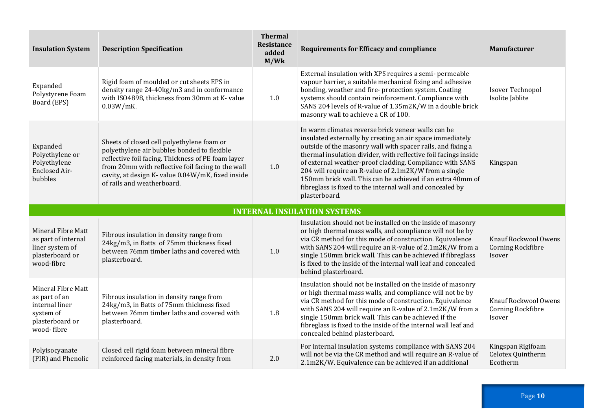| <b>Insulation System</b>                                                                            | <b>Description Specification</b>                                                                                                                                                                                                                                                        | <b>Thermal</b><br><b>Resistance</b><br>added<br>M/Wk | <b>Requirements for Efficacy and compliance</b>                                                                                                                                                                                                                                                                                                                                                                                                                                                                    | Manufacturer                                               |
|-----------------------------------------------------------------------------------------------------|-----------------------------------------------------------------------------------------------------------------------------------------------------------------------------------------------------------------------------------------------------------------------------------------|------------------------------------------------------|--------------------------------------------------------------------------------------------------------------------------------------------------------------------------------------------------------------------------------------------------------------------------------------------------------------------------------------------------------------------------------------------------------------------------------------------------------------------------------------------------------------------|------------------------------------------------------------|
| Expanded<br>Polystyrene Foam<br>Board (EPS)                                                         | Rigid foam of moulded or cut sheets EPS in<br>density range 24-40kg/m3 and in conformance<br>with ISO4898, thickness from 30mm at K- value<br>$0.03W/mK$ .                                                                                                                              | 1.0                                                  | External insulation with XPS requires a semi- permeable<br>vapour barrier, a suitable mechanical fixing and adhesive<br>bonding, weather and fire- protection system. Coating<br>systems should contain reinforcement. Compliance with<br>SANS 204 levels of R-value of 1.35m2K/W in a double brick<br>masonry wall to achieve a CR of 100.                                                                                                                                                                        | Isover Technopol<br>Isolite Jablite                        |
| Expanded<br>Polyethylene or<br>Polyethylene<br>Enclosed Air-<br>bubbles                             | Sheets of closed cell polyethylene foam or<br>polyethylene air bubbles bonded to flexible<br>reflective foil facing. Thickness of PE foam layer<br>from 20mm with reflective foil facing to the wall<br>cavity, at design K- value 0.04W/mK, fixed inside<br>of rails and weatherboard. | 1.0                                                  | In warm climates reverse brick veneer walls can be<br>insulated externally by creating an air space immediately<br>outside of the masonry wall with spacer rails, and fixing a<br>thermal insulation divider, with reflective foil facings inside<br>of external weather-proof cladding. Compliance with SANS<br>204 will require an R-value of 2.1m2K/W from a single<br>150mm brick wall. This can be achieved if an extra 40mm of<br>fibreglass is fixed to the internal wall and concealed by<br>plasterboard. | Kingspan                                                   |
|                                                                                                     |                                                                                                                                                                                                                                                                                         |                                                      | <b>INTERNAL INSULATION SYSTEMS</b>                                                                                                                                                                                                                                                                                                                                                                                                                                                                                 |                                                            |
| Mineral Fibre Matt<br>as part of internal<br>liner system of                                        | Fibrous insulation in density range from<br>24kg/m3, in Batts of 75mm thickness fixed                                                                                                                                                                                                   |                                                      | Insulation should not be installed on the inside of masonry<br>or high thermal mass walls, and compliance will not be by                                                                                                                                                                                                                                                                                                                                                                                           |                                                            |
| plasterboard or<br>wood-fibre                                                                       | between 76mm timber laths and covered with<br>plasterboard.                                                                                                                                                                                                                             | 1.0                                                  | via CR method for this mode of construction. Equivalence<br>with SANS 204 will require an R-value of 2.1m2K/W from a<br>single 150mm brick wall. This can be achieved if fibreglass<br>is fixed to the inside of the internal wall leaf and concealed<br>behind plasterboard.                                                                                                                                                                                                                                      | Knauf Rockwool Owens<br>Corning Rockfibre<br>Isover        |
| Mineral Fibre Matt<br>as part of an<br>internal liner<br>system of<br>plasterboard or<br>wood-fibre | Fibrous insulation in density range from<br>24kg/m3, in Batts of 75mm thickness fixed<br>between 76mm timber laths and covered with<br>plasterboard.                                                                                                                                    | 1.8                                                  | Insulation should not be installed on the inside of masonry<br>or high thermal mass walls, and compliance will not be by<br>via CR method for this mode of construction. Equivalence<br>with SANS 204 will require an R-value of 2.1m2K/W from a<br>single 150mm brick wall. This can be achieved if the<br>fibreglass is fixed to the inside of the internal wall leaf and<br>concealed behind plasterboard.                                                                                                      | Knauf Rockwool Owens<br><b>Corning Rockfibre</b><br>Isover |